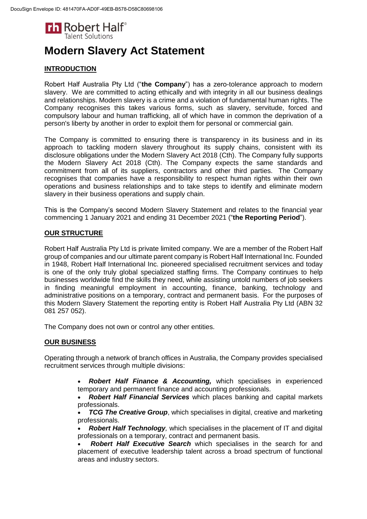

# **Modern Slavery Act Statement**

## **INTRODUCTION**

Robert Half Australia Pty Ltd ("**the Company**") has a zero-tolerance approach to modern slavery. We are committed to acting ethically and with integrity in all our business dealings and relationships. Modern slavery is a crime and a violation of fundamental human rights. The Company recognises this takes various forms, such as slavery, servitude, forced and compulsory labour and human trafficking, all of which have in common the deprivation of a person's liberty by another in order to exploit them for personal or commercial gain.

The Company is committed to ensuring there is transparency in its business and in its approach to tackling modern slavery throughout its supply chains, consistent with its disclosure obligations under the Modern Slavery Act 2018 (Cth). The Company fully supports the Modern Slavery Act 2018 (Cth). The Company expects the same standards and commitment from all of its suppliers, contractors and other third parties. The Company recognises that companies have a responsibility to respect human rights within their own operations and business relationships and to take steps to identify and eliminate modern slavery in their business operations and supply chain.

This is the Company's second Modern Slavery Statement and relates to the financial year commencing 1 January 2021 and ending 31 December 2021 ("**the Reporting Period**").

## **OUR STRUCTURE**

Robert Half Australia Pty Ltd is private limited company. We are a member of the Robert Half group of companies and our ultimate parent company is Robert Half International Inc. Founded in 1948, Robert Half International Inc. pioneered specialised recruitment services and today is one of the only truly global specialized staffing firms. The Company continues to help businesses worldwide find the skills they need, while assisting untold numbers of job seekers in finding meaningful employment in accounting, finance, banking, technology and administrative positions on a temporary, contract and permanent basis. For the purposes of this Modern Slavery Statement the reporting entity is Robert Half Australia Pty Ltd (ABN 32 081 257 052).

The Company does not own or control any other entities.

## **OUR BUSINESS**

Operating through a network of branch offices in Australia, the Company provides specialised recruitment services through multiple divisions:

- *Robert Half Finance & Accounting,* which specialises in experienced temporary and permanent finance and accounting professionals.
- *Robert Half Financial Services* which places banking and capital markets professionals.
- *TCG The Creative Group, which specialises in digital, creative and marketing* professionals.
- *Robert Half Technology,* which specialises in the placement of IT and digital professionals on a temporary, contract and permanent basis.
- *Robert Half Executive Search* which specialises in the search for and placement of executive leadership talent across a broad spectrum of functional areas and industry sectors.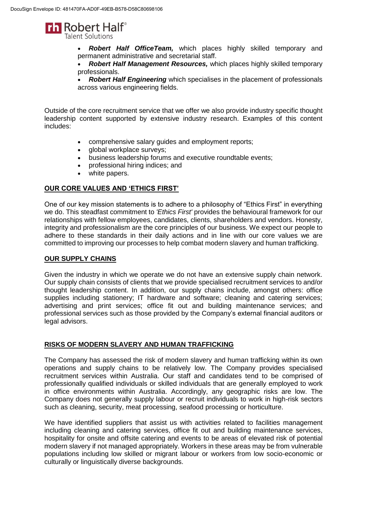

 *Robert Half OfficeTeam,* which places highly skilled temporary and permanent administrative and secretarial staff.

 *Robert Half Management Resources,* which places highly skilled temporary professionals.

 *Robert Half Engineering* which specialises in the placement of professionals across various engineering fields.

Outside of the core recruitment service that we offer we also provide industry specific thought leadership content supported by extensive industry research. Examples of this content includes:

- comprehensive salary guides and employment reports;
- global workplace surveys;
- business leadership forums and executive roundtable events;
- professional hiring indices; and
- white papers.

#### **OUR CORE VALUES AND 'ETHICS FIRST'**

One of our key mission statements is to adhere to a philosophy of "Ethics First" in everything we do. This steadfast commitment to *'Ethics First'* provides the behavioural framework for our relationships with fellow employees, candidates, clients, shareholders and vendors. Honesty, integrity and professionalism are the core principles of our business. We expect our people to adhere to these standards in their daily actions and in line with our core values we are committed to improving our processes to help combat modern slavery and human trafficking.

#### **OUR SUPPLY CHAINS**

Given the industry in which we operate we do not have an extensive supply chain network. Our supply chain consists of clients that we provide specialised recruitment services to and/or thought leadership content. In addition, our supply chains include, amongst others: office supplies including stationery; IT hardware and software; cleaning and catering services; advertising and print services; office fit out and building maintenance services; and professional services such as those provided by the Company's external financial auditors or legal advisors.

#### **RISKS OF MODERN SLAVERY AND HUMAN TRAFFICKING**

The Company has assessed the risk of modern slavery and human trafficking within its own operations and supply chains to be relatively low. The Company provides specialised recruitment services within Australia. Our staff and candidates tend to be comprised of professionally qualified individuals or skilled individuals that are generally employed to work in office environments within Australia. Accordingly, any geographic risks are low. The Company does not generally supply labour or recruit individuals to work in high-risk sectors such as cleaning, security, meat processing, seafood processing or horticulture.

We have identified suppliers that assist us with activities related to facilities management including cleaning and catering services, office fit out and building maintenance services, hospitality for onsite and offsite catering and events to be areas of elevated risk of potential modern slavery if not managed appropriately. Workers in these areas may be from vulnerable populations including low skilled or migrant labour or workers from low socio-economic or culturally or linguistically diverse backgrounds.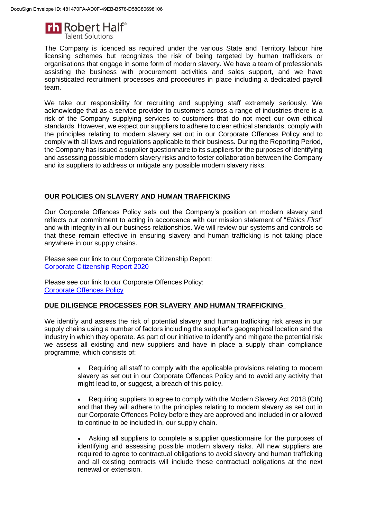

The Company is licenced as required under the various State and Territory labour hire licensing schemes but recognizes the risk of being targeted by human traffickers or organisations that engage in some form of modern slavery. We have a team of professionals assisting the business with procurement activities and sales support, and we have sophisticated recruitment processes and procedures in place including a dedicated payroll team.

We take our responsibility for recruiting and supplying staff extremely seriously. We acknowledge that as a service provider to customers across a range of industries there is a risk of the Company supplying services to customers that do not meet our own ethical standards. However, we expect our suppliers to adhere to clear ethical standards, comply with the principles relating to modern slavery set out in our Corporate Offences Policy and to comply with all laws and regulations applicable to their business. During the Reporting Period, the Company has issued a supplier questionnaire to its suppliers for the purposes of identifying and assessing possible modern slavery risks and to foster collaboration between the Company and its suppliers to address or mitigate any possible modern slavery risks.

## **OUR POLICIES ON SLAVERY AND HUMAN TRAFFICKING**

Our Corporate Offences Policy sets out the Company's position on modern slavery and reflects our commitment to acting in accordance with our mission statement of "*Ethics First*" and with integrity in all our business relationships. We will review our systems and controls so that these remain effective in ensuring slavery and human trafficking is not taking place anywhere in our supply chains.

Please see our link to our Corporate Citizenship Report: [Corporate Citizenship Report 2020](https://www.roberthalf.com/sites/default/files/documents_not_indexed/RH_CorporateCitizenshipReport_2020.pdf)

Please see our link to our Corporate Offences Policy: [Corporate Offences Policy](https://www.roberthalf.com.au/sites/roberthalf.com.au/files/documents_not_indexed/CorporateOffencesPolicyAU_0.pdf)

## **DUE DILIGENCE PROCESSES FOR SLAVERY AND HUMAN TRAFFICKING**

We identify and assess the risk of potential slavery and human trafficking risk areas in our supply chains using a number of factors including the supplier's geographical location and the industry in which they operate. As part of our initiative to identify and mitigate the potential risk we assess all existing and new suppliers and have in place a supply chain compliance programme, which consists of:

> Requiring all staff to comply with the applicable provisions relating to modern slavery as set out in our Corporate Offences Policy and to avoid any activity that might lead to, or suggest, a breach of this policy.

> Requiring suppliers to agree to comply with the Modern Slavery Act 2018 (Cth) and that they will adhere to the principles relating to modern slavery as set out in our Corporate Offences Policy before they are approved and included in or allowed to continue to be included in, our supply chain.

> Asking all suppliers to complete a supplier questionnaire for the purposes of identifying and assessing possible modern slavery risks. All new suppliers are required to agree to contractual obligations to avoid slavery and human trafficking and all existing contracts will include these contractual obligations at the next renewal or extension.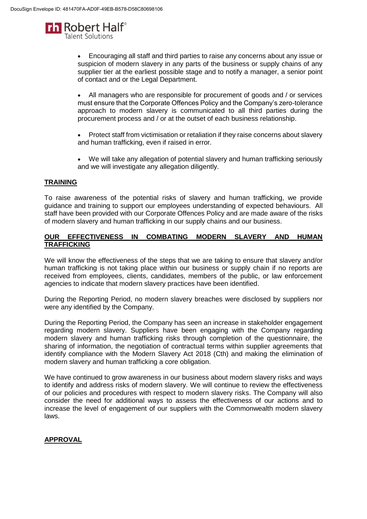

 Encouraging all staff and third parties to raise any concerns about any issue or suspicion of modern slavery in any parts of the business or supply chains of any supplier tier at the earliest possible stage and to notify a manager, a senior point of contact and or the Legal Department.

 All managers who are responsible for procurement of goods and / or services must ensure that the Corporate Offences Policy and the Company's zero-tolerance approach to modern slavery is communicated to all third parties during the procurement process and / or at the outset of each business relationship.

- Protect staff from victimisation or retaliation if they raise concerns about slavery and human trafficking, even if raised in error.
- We will take any allegation of potential slavery and human trafficking seriously and we will investigate any allegation diligently.

## **TRAINING**

To raise awareness of the potential risks of slavery and human trafficking, we provide guidance and training to support our employees understanding of expected behaviours. All staff have been provided with our Corporate Offences Policy and are made aware of the risks of modern slavery and human trafficking in our supply chains and our business.

#### **OUR EFFECTIVENESS IN COMBATING MODERN SLAVERY AND HUMAN TRAFFICKING**

We will know the effectiveness of the steps that we are taking to ensure that slavery and/or human trafficking is not taking place within our business or supply chain if no reports are received from employees, clients, candidates, members of the public, or law enforcement agencies to indicate that modern slavery practices have been identified.

During the Reporting Period, no modern slavery breaches were disclosed by suppliers nor were any identified by the Company.

During the Reporting Period, the Company has seen an increase in stakeholder engagement regarding modern slavery. Suppliers have been engaging with the Company regarding modern slavery and human trafficking risks through completion of the questionnaire, the sharing of information, the negotiation of contractual terms within supplier agreements that identify compliance with the Modern Slavery Act 2018 (Cth) and making the elimination of modern slavery and human trafficking a core obligation.

We have continued to grow awareness in our business about modern slavery risks and ways to identify and address risks of modern slavery. We will continue to review the effectiveness of our policies and procedures with respect to modern slavery risks. The Company will also consider the need for additional ways to assess the effectiveness of our actions and to increase the level of engagement of our suppliers with the Commonwealth modern slavery laws.

## **APPROVAL**